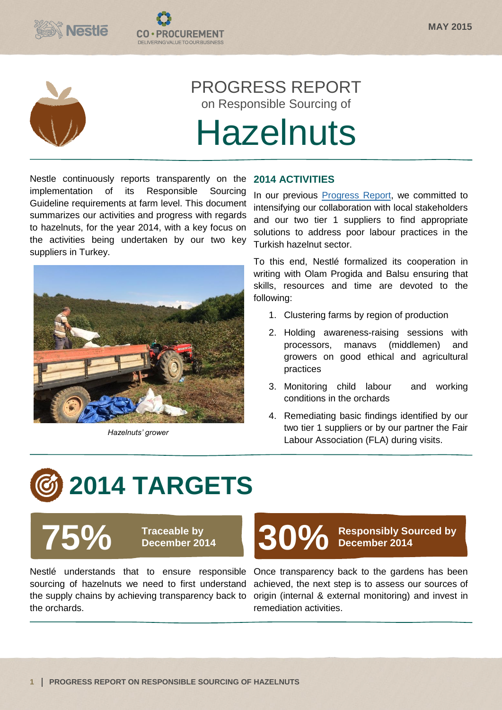



## PROGRESS REPORT on Responsible Sourcing of

# **Hazelnuts**

Nestle continuously reports transparently on the implementation of its Responsible Sourcing Guideline requirements at farm level. This document summarizes our activities and progress with regards to hazelnuts, for the year 2014, with a key focus on the activities being undertaken by our two key suppliers in Turkey.

**CO·PROCUREMENT** DELIVERING VALUE TO OUR BUSINES



*Hazelnuts' grower*

#### **2014 ACTIVITIES**

In our previous [Progress Report,](http://www.nestle.com/asset-library/documents/creating-shared-value/responsible-sourcing/fla-hazelnut-progress-report-april-2014.pdf) we committed to intensifying our collaboration with local stakeholders and our two tier 1 suppliers to find appropriate solutions to address poor labour practices in the Turkish hazelnut sector.

To this end, Nestlé formalized its cooperation in writing with Olam Progida and Balsu ensuring that skills, resources and time are devoted to the following:

- 1. Clustering farms by region of production
- 2. Holding awareness-raising sessions with processors, manavs (middlemen) and growers on good ethical and agricultural practices
- 3. Monitoring child labour and working conditions in the orchards
- 4. Remediating basic findings identified by our two tier 1 suppliers or by our partner the Fair Labour Association (FLA) during visits.

# **2014 TARGETS**



**75 OVER Traceable by December 2014** 

Nestlé understands that to ensure responsible Once transparency back to the gardens has been sourcing of hazelnuts we need to first understand the supply chains by achieving transparency back to origin (internal & external monitoring) and invest in the orchards.

# Traceable by **30%** Responsibly Sourced by December 2014

**December 2014**

achieved, the next step is to assess our sources of remediation activities.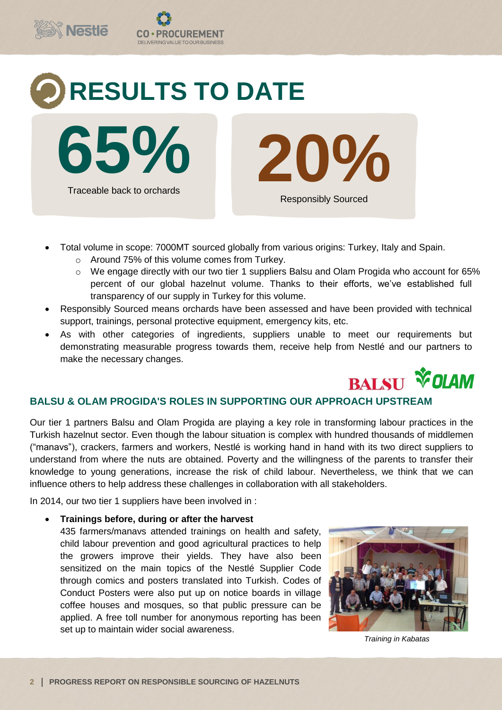

- Total volume in scope: 7000MT sourced globally from various origins: Turkey, Italy and Spain.
	- o Around 75% of this volume comes from Turkey.
	- o We engage directly with our two tier 1 suppliers Balsu and Olam Progida who account for 65% percent of our global hazelnut volume. Thanks to their efforts, we've established full transparency of our supply in Turkey for this volume.
- Responsibly Sourced means orchards have been assessed and have been provided with technical support, trainings, personal protective equipment, emergency kits, etc.
- As with other categories of ingredients, suppliers unable to meet our requirements but demonstrating measurable progress towards them, receive help from Nestlé and our partners to make the necessary changes.



### **BALSU & OLAM PROGIDA'S ROLES IN SUPPORTING OUR APPROACH UPSTREAM**

Our tier 1 partners Balsu and Olam Progida are playing a key role in transforming labour practices in the Turkish hazelnut sector. Even though the labour situation is complex with hundred thousands of middlemen ("manavs"), crackers, farmers and workers, Nestlé is working hand in hand with its two direct suppliers to understand from where the nuts are obtained. Poverty and the willingness of the parents to transfer their knowledge to young generations, increase the risk of child labour. Nevertheless, we think that we can influence others to help address these challenges in collaboration with all stakeholders.

In 2014, our two tier 1 suppliers have been involved in :

#### **Trainings before, during or after the harvest**

435 farmers/manavs attended trainings on health and safety, child labour prevention and good agricultural practices to help the growers improve their yields. They have also been sensitized on the main topics of the Nestlé Supplier Code through comics and posters translated into Turkish. Codes of Conduct Posters were also put up on notice boards in village coffee houses and mosques, so that public pressure can be applied. A free toll number for anonymous reporting has been set up to maintain wider social awareness.



*Training in Kabatas*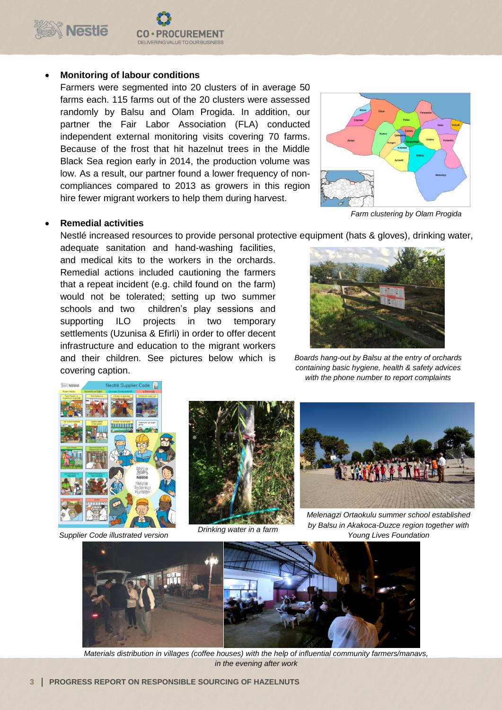

#### **Monitoring of labour conditions**

Farmers were segmented into 20 clusters of in average 50 farms each. 115 farms out of the 20 clusters were assessed randomly by Balsu and Olam Progida. In addition, our partner the Fair Labor Association (FLA) conducted independent external monitoring visits covering 70 farms. Because of the frost that hit hazelnut trees in the Middle Black Sea region early in 2014, the production volume was low. As a result, our partner found a lower frequency of noncompliances compared to 2013 as growers in this region hire fewer migrant workers to help them during harvest.

**OCUREMENT** 

DELIVERING VALUE TO OUR BUSINESS



#### **Remedial activities**

Nestlé increased resources to provide personal protective equipment (hats & gloves), drinking water,

adequate sanitation and hand-washing facilities, and medical kits to the workers in the orchards. Remedial actions included cautioning the farmers that a repeat incident (e.g. child found on the farm) would not be tolerated; setting up two summer schools and two children's play sessions and supporting ILO projects in two temporary settlements (Uzunisa & Efirli) in order to offer decent infrastructure and education to the migrant workers and their children. See pictures below which is covering caption.



*Boards hang-out by Balsu at the entry of orchards containing basic hygiene, health & safety advices with the phone number to report complaints*



*Supplier Code illustrated version*



*Drinking water in a farm*



*Melenagzi Ortaokulu summer school established by Balsu in Akakoca-Duzce region together with Young Lives Foundation*



*Materials distribution in villages (coffee houses) with the help of influential community farmers/manavs, in the evening after work*